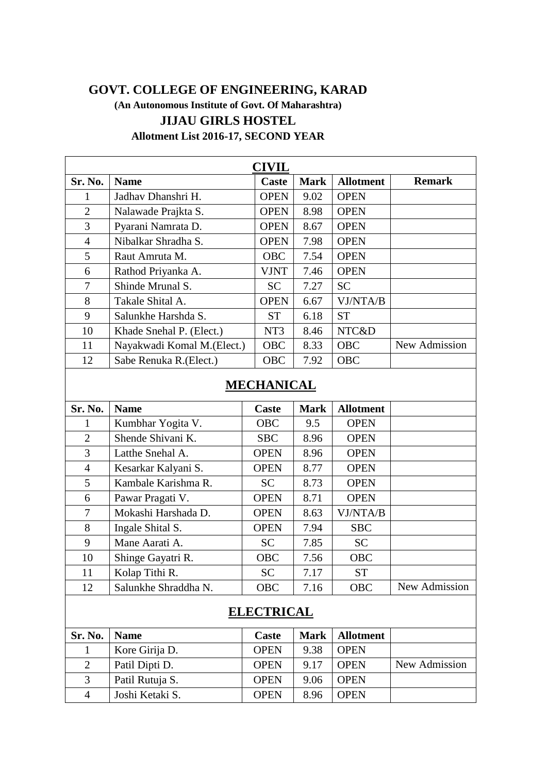## **GOVT. COLLEGE OF ENGINEERING, KARAD**

**(An Autonomous Institute of Govt. Of Maharashtra) JIJAU GIRLS HOSTEL Allotment List 2016-17, SECOND YEAR**

| <b>CIVIL</b>   |                             |                 |             |                  |               |  |  |
|----------------|-----------------------------|-----------------|-------------|------------------|---------------|--|--|
| Sr. No.        | <b>Name</b>                 | Caste           | <b>Mark</b> | <b>Allotment</b> | <b>Remark</b> |  |  |
|                | Jadhav Dhanshri H.          | <b>OPEN</b>     | 9.02        | <b>OPEN</b>      |               |  |  |
| $\overline{2}$ | Nalawade Prajkta S.         | <b>OPEN</b>     | 8.98        | <b>OPEN</b>      |               |  |  |
| 3              | Pyarani Namrata D.          | <b>OPEN</b>     | 8.67        | <b>OPEN</b>      |               |  |  |
| 4              | Nibalkar Shradha S.         | <b>OPEN</b>     | 7.98        | <b>OPEN</b>      |               |  |  |
| 5              | Raut Amruta M.              | <b>OBC</b>      | 7.54        | <b>OPEN</b>      |               |  |  |
| 6              | Rathod Priyanka A.          | <b>VJNT</b>     | 7.46        | <b>OPEN</b>      |               |  |  |
| 7              | Shinde Mrunal S.            | <b>SC</b>       | 7.27        | <b>SC</b>        |               |  |  |
| 8              | Takale Shital A.            | <b>OPEN</b>     | 6.67        | VJ/NTA/B         |               |  |  |
| 9              | Salunkhe Harshda S.         | <b>ST</b>       | 6.18        | <b>ST</b>        |               |  |  |
| 10             | Khade Snehal P. (Elect.)    | NT <sub>3</sub> | 8.46        | NTC&D            |               |  |  |
| 11             | Nayakwadi Komal M. (Elect.) | <b>OBC</b>      | 8.33        | <b>OBC</b>       | New Admission |  |  |
| 12             | Sabe Renuka R. (Elect.)     | <b>OBC</b>      | 7.92        | <b>OBC</b>       |               |  |  |

## **MECHANICAL**

| Sr. No.        | <b>Name</b>          | Caste       | <b>Mark</b> | <b>Allotment</b> |               |
|----------------|----------------------|-------------|-------------|------------------|---------------|
|                | Kumbhar Yogita V.    | <b>OBC</b>  | 9.5         | <b>OPEN</b>      |               |
| 2              | Shende Shivani K.    | <b>SBC</b>  | 8.96        | <b>OPEN</b>      |               |
| 3              | Latthe Snehal A.     | <b>OPEN</b> | 8.96        | <b>OPEN</b>      |               |
| $\overline{4}$ | Kesarkar Kalyani S.  | <b>OPEN</b> | 8.77        | <b>OPEN</b>      |               |
| 5              | Kambale Karishma R.  | <b>SC</b>   | 8.73        | <b>OPEN</b>      |               |
| 6              | Pawar Pragati V.     | <b>OPEN</b> | 8.71        | <b>OPEN</b>      |               |
| 7              | Mokashi Harshada D.  | <b>OPEN</b> | 8.63        | VJ/NTA/B         |               |
| 8              | Ingale Shital S.     | <b>OPEN</b> | 7.94        | <b>SBC</b>       |               |
| 9              | Mane Aarati A.       | <b>SC</b>   | 7.85        | <b>SC</b>        |               |
| 10             | Shinge Gayatri R.    | <b>OBC</b>  | 7.56        | <b>OBC</b>       |               |
| 11             | Kolap Tithi R.       | <b>SC</b>   | 7.17        | <b>ST</b>        |               |
| 12             | Salunkhe Shraddha N. | <b>OBC</b>  | 7.16        | <b>OBC</b>       | New Admission |

## **ELECTRICAL**

| Sr. No.      | <b>Name</b>     | <b>Caste</b> | Mark | <b>Allotment</b> |               |
|--------------|-----------------|--------------|------|------------------|---------------|
|              | Kore Girija D.  | <b>OPEN</b>  | 9.38 | <b>OPEN</b>      |               |
|              | Patil Dipti D.  | <b>OPEN</b>  | 9.17 | <b>OPEN</b>      | New Admission |
| $\mathbf{z}$ | Patil Rutuja S. | <b>OPEN</b>  | 9.06 | <b>OPEN</b>      |               |
| 4            | Joshi Ketaki S. | <b>OPEN</b>  | 8.96 | <b>OPEN</b>      |               |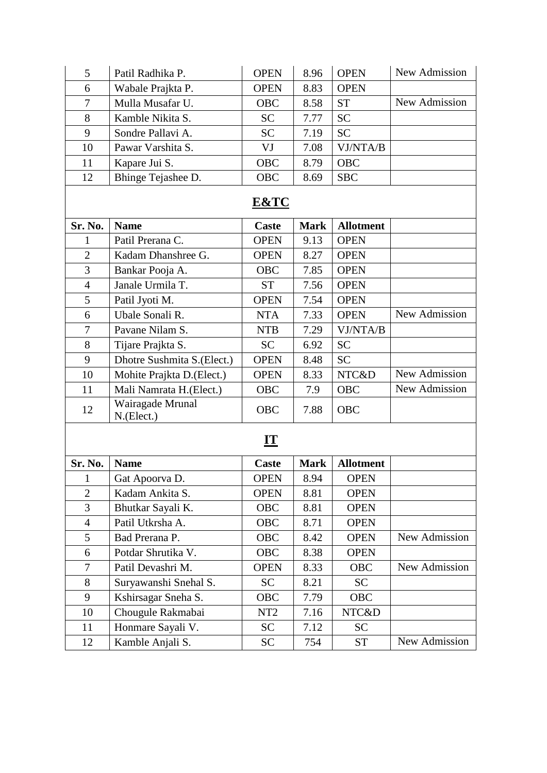| 5                       | Patil Radhika P.                   | <b>OPEN</b>  | 8.96        | <b>OPEN</b>      | New Admission |  |  |  |
|-------------------------|------------------------------------|--------------|-------------|------------------|---------------|--|--|--|
| 6                       | Wabale Prajkta P.                  | <b>OPEN</b>  | 8.83        | <b>OPEN</b>      |               |  |  |  |
| $\overline{7}$          | Mulla Musafar U.                   | <b>OBC</b>   | 8.58        | <b>ST</b>        | New Admission |  |  |  |
| 8                       | Kamble Nikita S.                   | <b>SC</b>    | 7.77        | <b>SC</b>        |               |  |  |  |
| 9                       | Sondre Pallavi A.                  | <b>SC</b>    | 7.19        | <b>SC</b>        |               |  |  |  |
| 10                      | Pawar Varshita S.                  | VJ           | 7.08        | VJ/NTA/B         |               |  |  |  |
| 11                      | Kapare Jui S.                      | <b>OBC</b>   | 8.79        | <b>OBC</b>       |               |  |  |  |
| 12                      | Bhinge Tejashee D.                 | <b>OBC</b>   | 8.69        | <b>SBC</b>       |               |  |  |  |
| <b>E&amp;TC</b>         |                                    |              |             |                  |               |  |  |  |
| Sr. No.                 | <b>Name</b>                        | <b>Caste</b> | <b>Mark</b> | <b>Allotment</b> |               |  |  |  |
| 1                       | Patil Prerana C.                   | <b>OPEN</b>  | 9.13        | <b>OPEN</b>      |               |  |  |  |
| $\overline{2}$          | Kadam Dhanshree G.                 | <b>OPEN</b>  | 8.27        | <b>OPEN</b>      |               |  |  |  |
| $\overline{3}$          | Bankar Pooja A.                    | <b>OBC</b>   | 7.85        | <b>OPEN</b>      |               |  |  |  |
| $\overline{4}$          | Janale Urmila T.                   | <b>ST</b>    | 7.56        | <b>OPEN</b>      |               |  |  |  |
| 5                       | Patil Jyoti M.                     | <b>OPEN</b>  | 7.54        | <b>OPEN</b>      |               |  |  |  |
| 6                       | Ubale Sonali R.                    | <b>NTA</b>   | 7.33        | <b>OPEN</b>      | New Admission |  |  |  |
| $\overline{7}$          | Pavane Nilam S.                    | <b>NTB</b>   | 7.29        | VJ/NTA/B         |               |  |  |  |
| 8                       | Tijare Prajkta S.                  | <b>SC</b>    | 6.92        | <b>SC</b>        |               |  |  |  |
| 9                       | Dhotre Sushmita S.(Elect.)         | <b>OPEN</b>  | 8.48        | <b>SC</b>        |               |  |  |  |
| 10                      | Mohite Prajkta D.(Elect.)          | <b>OPEN</b>  | 8.33        | NTC&D            | New Admission |  |  |  |
| 11                      | Mali Namrata H. (Elect.)           | <b>OBC</b>   | 7.9         | <b>OBC</b>       | New Admission |  |  |  |
| 12                      | Wairagade Mrunal<br>$N$ . (Elect.) | <b>OBC</b>   | 7.88        | OBC              |               |  |  |  |
| $\mathbf{I} \mathbf{T}$ |                                    |              |             |                  |               |  |  |  |
| Sr. No.                 | <b>Name</b>                        | Caste        | <b>Mark</b> | <b>Allotment</b> |               |  |  |  |
| 1                       | Gat Apoorva D.                     | <b>OPEN</b>  | 8.94        | <b>OPEN</b>      |               |  |  |  |
| $\overline{2}$          | Kadam Ankita S.                    | <b>OPEN</b>  | 8.81        | <b>OPEN</b>      |               |  |  |  |
| 3                       | Bhutkar Sayali K.                  | <b>OBC</b>   | 8.81        | <b>OPEN</b>      |               |  |  |  |

4 | Patil Utkrsha A. | OBC | 8.71 | OPEN

Potdar Shrutika V. OBC 8.38 OPEN

8 Suryawanshi Snehal S. SC 8.21 SC 9 | Kshirsagar Sneha S. | OBC | 7.79 | OBC 10 Chougule Rakmabai | NT2 | 7.16 | NTC&D 11 | Honmare Sayali V. | SC | 7.12 | SC

5 Bad Prerana P. CBC 8.42 OPEN New Admission

7 | Patil Devashri M. | OPEN | 8.33 | OBC | New Admission

12 Kamble Anjali S. SC 754 ST New Admission